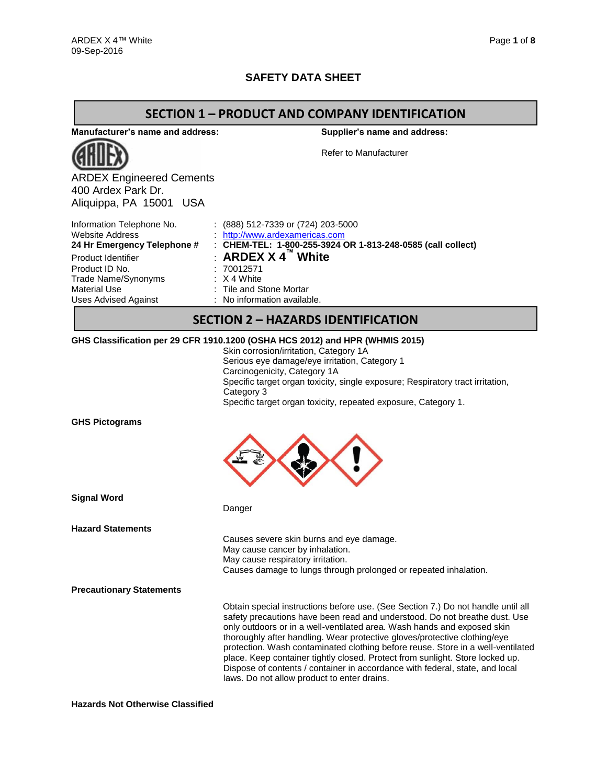## **SAFETY DATA SHEET**

### **SECTION 1 – PRODUCT AND COMPANY IDENTIFICATION**

**Manufacturer's name and address:**



ARDEX Engineered Cements 400 Ardex Park Dr. Aliquippa, PA 15001 USA

**Supplier's name and address:**

Refer to Manufacturer

| Information Telephone No.   | $(888)$ 512-7339 or (724) 203-5000                          |
|-----------------------------|-------------------------------------------------------------|
| <b>Website Address</b>      | http://www.ardexamericas.com                                |
| 24 Hr Emergency Telephone # | : CHEM-TEL: 1-800-255-3924 OR 1-813-248-0585 (call collect) |
| Product Identifier          | : ARDEX $X$ 4 <sup>"</sup> White                            |
| Product ID No.              | :70012571                                                   |
| Trade Name/Synonyms         | $\therefore$ X 4 White                                      |
| Material Use                | : Tile and Stone Mortar                                     |
| <b>Uses Advised Against</b> | : No information available.                                 |
|                             |                                                             |

## **SECTION 2 – HAZARDS IDENTIFICATION**

#### **GHS Classification per 29 CFR 1910.1200 (OSHA HCS 2012) and HPR (WHMIS 2015)**

Danger

Skin corrosion/irritation, Category 1A Serious eye damage/eye irritation, Category 1 Carcinogenicity, Category 1A Specific target organ toxicity, single exposure; Respiratory tract irritation, Category 3 Specific target organ toxicity, repeated exposure, Category 1.

**GHS Pictograms**



**Signal Word**

**Hazard Statements**

Causes severe skin burns and eye damage. May cause cancer by inhalation. May cause respiratory irritation. Causes damage to lungs through prolonged or repeated inhalation.

**Precautionary Statements**

Obtain special instructions before use. (See Section 7.) Do not handle until all safety precautions have been read and understood. Do not breathe dust. Use only outdoors or in a well-ventilated area. Wash hands and exposed skin thoroughly after handling. Wear protective gloves/protective clothing/eye protection. Wash contaminated clothing before reuse. Store in a well-ventilated place. Keep container tightly closed. Protect from sunlight. Store locked up. Dispose of contents / container in accordance with federal, state, and local laws. Do not allow product to enter drains.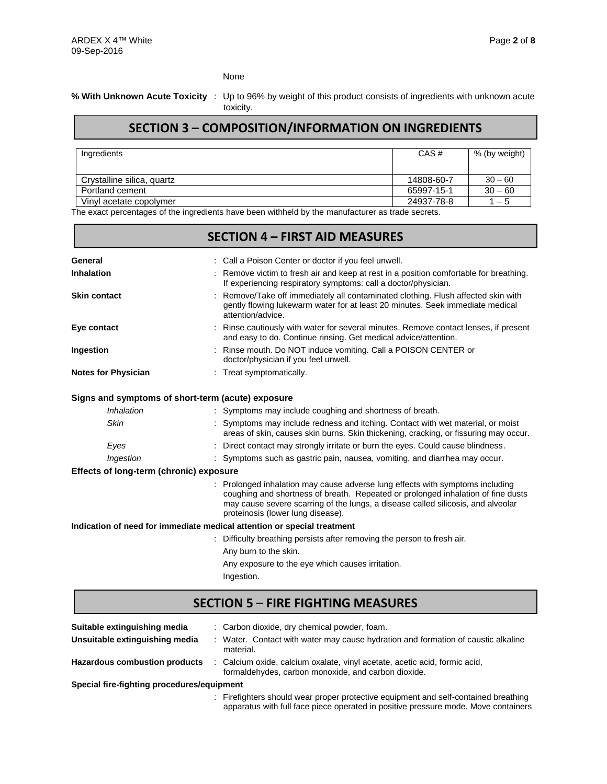None

#### **% With Unknown Acute Toxicity** : Up to 96% by weight of this product consists of ingredients with unknown acute toxicity.

## **SECTION 3 – COMPOSITION/INFORMATION ON INGREDIENTS**

| Ingredients                | CAS#       | % (by weight) |
|----------------------------|------------|---------------|
| Crystalline silica, quartz | 14808-60-7 | $30 - 60$     |
| Portland cement            | 65997-15-1 | $30 - 60$     |
| Vinyl acetate copolymer    | 24937-78-8 | $1 - 5$       |

The exact percentages of the ingredients have been withheld by the manufacturer as trade secrets.

|                                         | <b>SECTION 4 - FIRST AID MEASURES</b>                                                                                                                                                                                                                                                    |
|-----------------------------------------|------------------------------------------------------------------------------------------------------------------------------------------------------------------------------------------------------------------------------------------------------------------------------------------|
| General                                 | : Call a Poison Center or doctor if you feel unwell.                                                                                                                                                                                                                                     |
| Inhalation                              | : Remove victim to fresh air and keep at rest in a position comfortable for breathing.<br>If experiencing respiratory symptoms: call a doctor/physician.                                                                                                                                 |
| <b>Skin contact</b>                     | Remove/Take off immediately all contaminated clothing. Flush affected skin with<br>gently flowing lukewarm water for at least 20 minutes. Seek immediate medical<br>attention/advice.                                                                                                    |
| Eye contact                             | Rinse cautiously with water for several minutes. Remove contact lenses, if present<br>and easy to do. Continue rinsing. Get medical advice/attention.                                                                                                                                    |
| Ingestion                               | Rinse mouth. Do NOT induce vomiting. Call a POISON CENTER or<br>doctor/physician if you feel unwell.                                                                                                                                                                                     |
| <b>Notes for Physician</b>              | Treat symptomatically.                                                                                                                                                                                                                                                                   |
|                                         | Signs and symptoms of short-term (acute) exposure                                                                                                                                                                                                                                        |
| Inhalation                              | : Symptoms may include coughing and shortness of breath.                                                                                                                                                                                                                                 |
| Skin                                    | Symptoms may include redness and itching. Contact with wet material, or moist<br>areas of skin, causes skin burns. Skin thickening, cracking, or fissuring may occur.                                                                                                                    |
| Eyes                                    | : Direct contact may strongly irritate or burn the eyes. Could cause blindness.                                                                                                                                                                                                          |
| Ingestion                               | : Symptoms such as gastric pain, nausea, vomiting, and diarrhea may occur.                                                                                                                                                                                                               |
| Effects of long-term (chronic) exposure |                                                                                                                                                                                                                                                                                          |
|                                         | Prolonged inhalation may cause adverse lung effects with symptoms including<br>coughing and shortness of breath. Repeated or prolonged inhalation of fine dusts<br>may cause severe scarring of the lungs, a disease called silicosis, and alveolar<br>proteinosis (lower lung disease). |
|                                         | Indication of need for immediate medical attention or special treatment                                                                                                                                                                                                                  |
|                                         | Difficulty breathing persists after removing the person to fresh air.                                                                                                                                                                                                                    |
|                                         | Any burn to the skin.                                                                                                                                                                                                                                                                    |
|                                         | Any exposure to the eye which causes irritation.                                                                                                                                                                                                                                         |
|                                         | Ingestion.                                                                                                                                                                                                                                                                               |
|                                         | <b>SECTION 5 - FIRE FIGHTING MEASURES</b>                                                                                                                                                                                                                                                |

| Suitable extinguishing media               | : Carbon dioxide, dry chemical powder, foam.                                                                                      |
|--------------------------------------------|-----------------------------------------------------------------------------------------------------------------------------------|
| Unsuitable extinguishing media             | : Water. Contact with water may cause hydration and formation of caustic alkaline<br>material.                                    |
| <b>Hazardous combustion products</b>       | : Calcium oxide, calcium oxalate, vinyl acetate, acetic acid, formic acid,<br>formaldehydes, carbon monoxide, and carbon dioxide. |
| Special fire-fighting procedures/equipment |                                                                                                                                   |
|                                            |                                                                                                                                   |

: Firefighters should wear proper protective equipment and self-contained breathing apparatus with full face piece operated in positive pressure mode. Move containers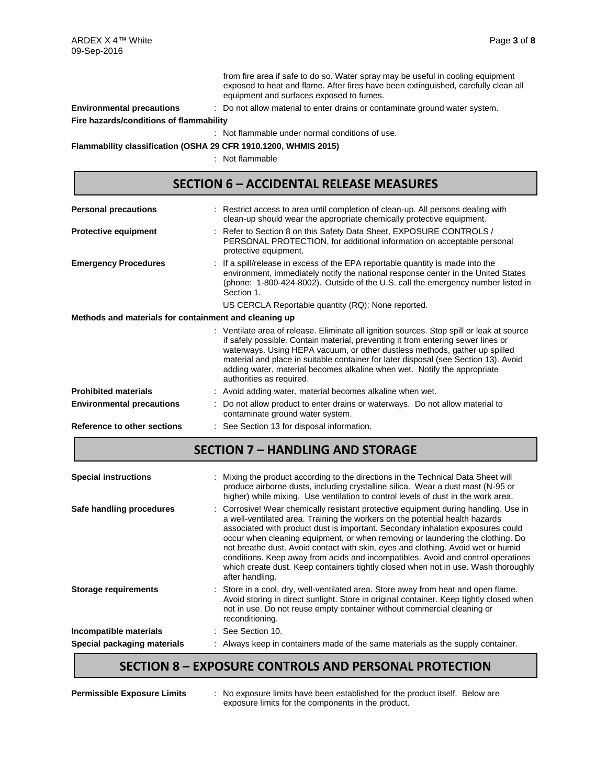from fire area if safe to do so. Water spray may be useful in cooling equipment exposed to heat and flame. After fires have been extinguished, carefully clean all equipment and surfaces exposed to fumes.

### **Environmental precautions** : Do not allow material to enter drains or contaminate ground water system.

**Fire hazards/conditions of flammability**

: Not flammable under normal conditions of use.

**Flammability classification (OSHA 29 CFR 1910.1200, WHMIS 2015)**

: Not flammable

## **SECTION 6 – ACCIDENTAL RELEASE MEASURES**

| <b>Personal precautions</b>                                                                                                                                                                                                                                                                                                                                                                                                                                |  | : Restrict access to area until completion of clean-up. All persons dealing with<br>clean-up should wear the appropriate chemically protective equipment.                                                                                                             |  |  |  |  |
|------------------------------------------------------------------------------------------------------------------------------------------------------------------------------------------------------------------------------------------------------------------------------------------------------------------------------------------------------------------------------------------------------------------------------------------------------------|--|-----------------------------------------------------------------------------------------------------------------------------------------------------------------------------------------------------------------------------------------------------------------------|--|--|--|--|
| <b>Protective equipment</b>                                                                                                                                                                                                                                                                                                                                                                                                                                |  | : Refer to Section 8 on this Safety Data Sheet, EXPOSURE CONTROLS /<br>PERSONAL PROTECTION, for additional information on acceptable personal<br>protective equipment.                                                                                                |  |  |  |  |
| <b>Emergency Procedures</b>                                                                                                                                                                                                                                                                                                                                                                                                                                |  | : If a spill/release in excess of the EPA reportable quantity is made into the<br>environment, immediately notify the national response center in the United States<br>(phone: 1-800-424-8002). Outside of the U.S. call the emergency number listed in<br>Section 1. |  |  |  |  |
|                                                                                                                                                                                                                                                                                                                                                                                                                                                            |  | US CERCLA Reportable quantity (RQ): None reported.                                                                                                                                                                                                                    |  |  |  |  |
| Methods and materials for containment and cleaning up                                                                                                                                                                                                                                                                                                                                                                                                      |  |                                                                                                                                                                                                                                                                       |  |  |  |  |
| : Ventilate area of release. Eliminate all ignition sources. Stop spill or leak at source<br>if safely possible. Contain material, preventing it from entering sewer lines or<br>waterways. Using HEPA vacuum, or other dustless methods, gather up spilled<br>material and place in suitable container for later disposal (see Section 13). Avoid<br>adding water, material becomes alkaline when wet. Notify the appropriate<br>authorities as required. |  |                                                                                                                                                                                                                                                                       |  |  |  |  |
| <b>Prohibited materials</b>                                                                                                                                                                                                                                                                                                                                                                                                                                |  | : Avoid adding water, material becomes alkaline when wet.                                                                                                                                                                                                             |  |  |  |  |
| <b>Environmental precautions</b>                                                                                                                                                                                                                                                                                                                                                                                                                           |  | Do not allow product to enter drains or waterways. Do not allow material to<br>contaminate ground water system.                                                                                                                                                       |  |  |  |  |
| Reference to other sections                                                                                                                                                                                                                                                                                                                                                                                                                                |  | : See Section 13 for disposal information.                                                                                                                                                                                                                            |  |  |  |  |

## **SECTION 7 – HANDLING AND STORAGE**

| Special packaging materials | : Always keep in containers made of the same materials as the supply container.                                                                                                                                                                                                                                                                                                                                                                                                                                                                                                                                           |
|-----------------------------|---------------------------------------------------------------------------------------------------------------------------------------------------------------------------------------------------------------------------------------------------------------------------------------------------------------------------------------------------------------------------------------------------------------------------------------------------------------------------------------------------------------------------------------------------------------------------------------------------------------------------|
| Incompatible materials      | : See Section 10.                                                                                                                                                                                                                                                                                                                                                                                                                                                                                                                                                                                                         |
| <b>Storage requirements</b> | : Store in a cool, dry, well-ventilated area. Store away from heat and open flame.<br>Avoid storing in direct sunlight. Store in original container. Keep tightly closed when<br>not in use. Do not reuse empty container without commercial cleaning or<br>reconditioning.                                                                                                                                                                                                                                                                                                                                               |
| Safe handling procedures    | : Corrosive! Wear chemically resistant protective equipment during handling. Use in<br>a well-ventilated area. Training the workers on the potential health hazards<br>associated with product dust is important. Secondary inhalation exposures could<br>occur when cleaning equipment, or when removing or laundering the clothing. Do<br>not breathe dust. Avoid contact with skin, eyes and clothing. Avoid wet or humid<br>conditions. Keep away from acids and incompatibles. Avoid and control operations<br>which create dust. Keep containers tightly closed when not in use. Wash thoroughly<br>after handling. |
| <b>Special instructions</b> | : Mixing the product according to the directions in the Technical Data Sheet will<br>produce airborne dusts, including crystalline silica. Wear a dust mast (N-95 or<br>higher) while mixing. Use ventilation to control levels of dust in the work area.                                                                                                                                                                                                                                                                                                                                                                 |

## **SECTION 8 – EXPOSURE CONTROLS AND PERSONAL PROTECTION**

**Permissible Exposure Limits** : No exposure limits have been established for the product itself. Below are exposure limits for the components in the product.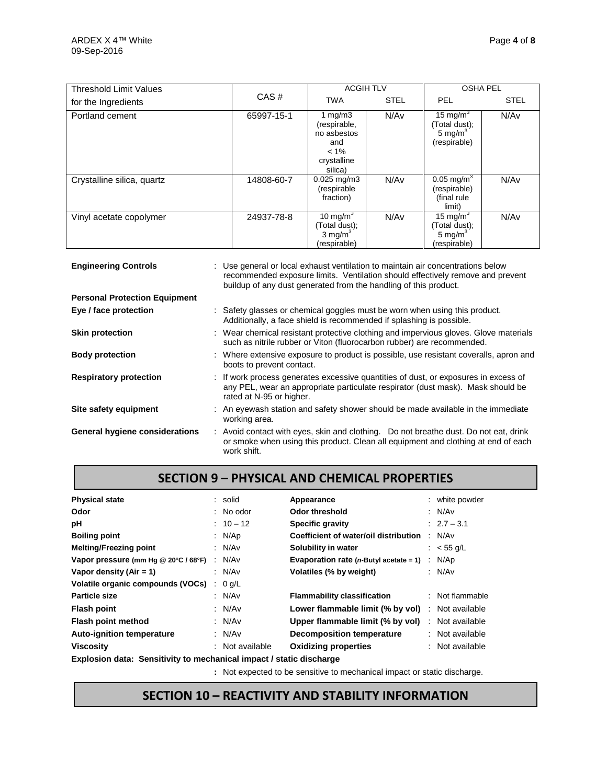| <b>Threshold Limit Values</b> |            | <b>ACGIH TLV</b>                                                                      | <b>OSHA PEL</b> |                                                                      |             |
|-------------------------------|------------|---------------------------------------------------------------------------------------|-----------------|----------------------------------------------------------------------|-------------|
| for the Ingredients           | CAS#       | <b>TWA</b>                                                                            | <b>STEL</b>     | <b>PEL</b>                                                           | <b>STEL</b> |
| Portland cement               | 65997-15-1 | 1 mg/m $3$<br>(respirable,<br>no asbestos<br>and<br>$< 1\%$<br>crystalline<br>silica) | N/Av            | 15 mg/m <sup>3</sup><br>(Total dust);<br>5 mg/ $m^3$<br>(respirable) | N/Av        |
| Crystalline silica, quartz    | 14808-60-7 | $0.025 \,\mathrm{mg/m3}$<br>(respirable<br>fraction)                                  | N/Av            | $0.05$ mg/m <sup>3</sup><br>(respirable)<br>(final rule<br>limit)    | N/Av        |
| Vinyl acetate copolymer       | 24937-78-8 | 10 mg/m <sup>3</sup><br>(Total dust);<br>3 mg/ $m3$<br>(respirable)                   | N/Av            | 15 mg/m $3$<br>(Total dust);<br>5 mg/ $m3$<br>(respirable)           | N/Av        |

| <b>Engineering Controls</b>          | : Use general or local exhaust ventilation to maintain air concentrations below<br>recommended exposure limits. Ventilation should effectively remove and prevent<br>buildup of any dust generated from the handling of this product. |
|--------------------------------------|---------------------------------------------------------------------------------------------------------------------------------------------------------------------------------------------------------------------------------------|
| <b>Personal Protection Equipment</b> |                                                                                                                                                                                                                                       |
| Eye / face protection                | : Safety glasses or chemical goggles must be worn when using this product.<br>Additionally, a face shield is recommended if splashing is possible.                                                                                    |
| <b>Skin protection</b>               | : Wear chemical resistant protective clothing and impervious gloves. Glove materials<br>such as nitrile rubber or Viton (fluorocarbon rubber) are recommended.                                                                        |
| <b>Body protection</b>               | : Where extensive exposure to product is possible, use resistant coveralls, apron and<br>boots to prevent contact.                                                                                                                    |
| <b>Respiratory protection</b>        | : If work process generates excessive quantities of dust, or exposures in excess of<br>any PEL, wear an appropriate particulate respirator (dust mask). Mask should be<br>rated at N-95 or higher.                                    |
| Site safety equipment                | : An eyewash station and safety shower should be made available in the immediate<br>working area.                                                                                                                                     |
| General hygiene considerations       | : Avoid contact with eyes, skin and clothing. Do not breathe dust. Do not eat, drink<br>or smoke when using this product. Clean all equipment and clothing at end of each<br>work shift.                                              |

# **SECTION 9 – PHYSICAL AND CHEMICAL PROPERTIES**

| <b>Physical state</b>                                              |   | : solid       | Appearance                                 | : white powder  |
|--------------------------------------------------------------------|---|---------------|--------------------------------------------|-----------------|
| Odor                                                               |   | $:$ No odor   | Odor threshold                             | : $N/Av$        |
| рH                                                                 |   | $: 10 - 12$   | <b>Specific gravity</b>                    | $: 2.7 - 3.1$   |
| <b>Boiling point</b>                                               |   | : N/Ap        | Coefficient of water/oil distribution      | : N/Av          |
| <b>Melting/Freezing point</b>                                      |   | : N/Av        | Solubility in water                        | : $< 55$ g/L    |
| Vapor pressure (mm Hg @ 20°C / 68°F)                               |   | : N/Av        | Evaporation rate ( $n$ -Butyl acetate = 1) | : N/Ap          |
| Vapor density $(Air = 1)$                                          |   | : N/Av        | Volatiles (% by weight)                    | : N/Av          |
| Volatile organic compounds (VOCs)                                  | ÷ | $0$ g/L       |                                            |                 |
| Particle size                                                      |   | : N/Av        | <b>Flammability classification</b>         | : Not flammable |
| <b>Flash point</b>                                                 |   | : $N/Av$      | Lower flammable limit (% by vol)           | : Not available |
| Flash point method                                                 |   | : $N/Av$      | Upper flammable limit (% by vol)           | : Not available |
| <b>Auto-ignition temperature</b>                                   |   | : $N/Av$      | <b>Decomposition temperature</b>           | : Not available |
| <b>Viscosity</b>                                                   |   | Not available | <b>Oxidizing properties</b>                | : Not available |
| Evalogian data: Cancificity to moobanical impost Letatio discharge |   |               |                                            |                 |

**Explosion data: Sensitivity to mechanical impact / static discharge**

**:** Not expected to be sensitive to mechanical impact or static discharge.

# **SECTION 10 – REACTIVITY AND STABILITY INFORMATION**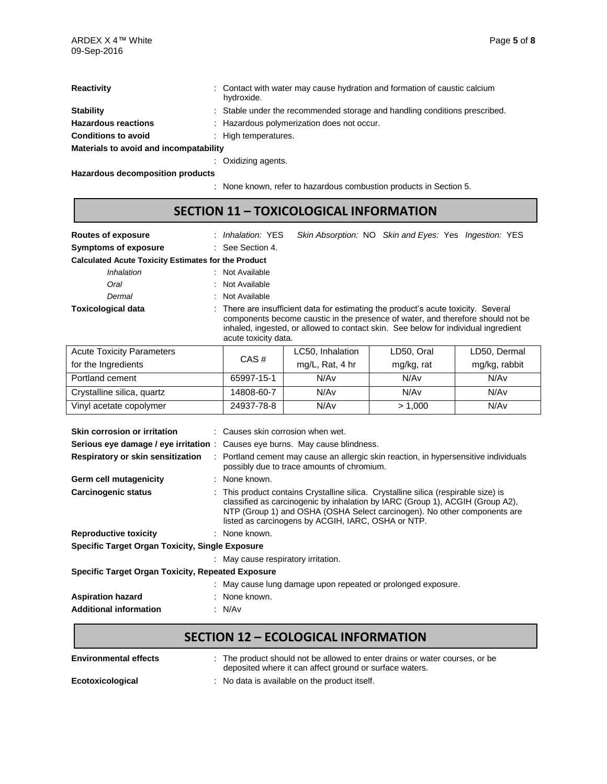| Reactivity                             | : Contact with water may cause hydration and formation of caustic calcium<br>hydroxide. |  |  |  |  |
|----------------------------------------|-----------------------------------------------------------------------------------------|--|--|--|--|
| <b>Stability</b>                       | : Stable under the recommended storage and handling conditions prescribed.              |  |  |  |  |
| <b>Hazardous reactions</b>             | : Hazardous polymerization does not occur.                                              |  |  |  |  |
| <b>Conditions to avoid</b>             | : High temperatures.                                                                    |  |  |  |  |
| Materials to avoid and incompatability |                                                                                         |  |  |  |  |
|                                        | Oxidizing agents.                                                                       |  |  |  |  |

**Hazardous decomposition products**

: None known, refer to hazardous combustion products in Section 5.

## **SECTION 11 – TOXICOLOGICAL INFORMATION**

| <b>Routes of exposure</b>                                  | <i>Inhalation:</i> YES | Skin Absorption: NO Skin and Eyes: Yes Ingestion: YES                                                                                                                                                                                                       |
|------------------------------------------------------------|------------------------|-------------------------------------------------------------------------------------------------------------------------------------------------------------------------------------------------------------------------------------------------------------|
| <b>Symptoms of exposure</b>                                | : See Section 4.       |                                                                                                                                                                                                                                                             |
| <b>Calculated Acute Toxicity Estimates for the Product</b> |                        |                                                                                                                                                                                                                                                             |
| Inhalation                                                 | : Not Available        |                                                                                                                                                                                                                                                             |
| Oral                                                       | : Not Available        |                                                                                                                                                                                                                                                             |
| Dermal                                                     | : Not Available        |                                                                                                                                                                                                                                                             |
| <b>Toxicological data</b>                                  | acute toxicity data.   | : There are insufficient data for estimating the product's acute toxicity. Several<br>components become caustic in the presence of water, and therefore should not be<br>inhaled, ingested, or allowed to contact skin. See below for individual ingredient |

| <b>Acute Toxicity Parameters</b> | CAS#       | LC50, Inhalation | LD50, Oral | LD50, Dermal  |
|----------------------------------|------------|------------------|------------|---------------|
| for the Ingredients              |            | mg/L, Rat, 4 hr  | mg/kg, rat | mg/kg, rabbit |
| Portland cement                  | 65997-15-1 | N/Av             | N/Av       | N/Av          |
| Crystalline silica, quartz       | 14808-60-7 | N/Av             | N/Av       | N/Av          |
| Vinyl acetate copolymer          | 24937-78-8 | N/Av             | > 1.000    | N/Av          |

| Skin corrosion or irritation                             | $\therefore$ Causes skin corrosion when wet.                                                                                                                                                                                                                                                           |  |  |  |  |
|----------------------------------------------------------|--------------------------------------------------------------------------------------------------------------------------------------------------------------------------------------------------------------------------------------------------------------------------------------------------------|--|--|--|--|
| Serious eye damage / eye irritation:                     | Causes eye burns. May cause blindness.                                                                                                                                                                                                                                                                 |  |  |  |  |
| Respiratory or skin sensitization                        | Portland cement may cause an allergic skin reaction, in hypersensitive individuals<br>possibly due to trace amounts of chromium.                                                                                                                                                                       |  |  |  |  |
| Germ cell mutagenicity                                   | : None known.                                                                                                                                                                                                                                                                                          |  |  |  |  |
| <b>Carcinogenic status</b>                               | : This product contains Crystalline silica. Crystalline silica (respirable size) is<br>classified as carcinogenic by inhalation by IARC (Group 1), ACGIH (Group A2),<br>NTP (Group 1) and OSHA (OSHA Select carcinogen). No other components are<br>listed as carcinogens by ACGIH, IARC, OSHA or NTP. |  |  |  |  |
| <b>Reproductive toxicity</b>                             | : None known.                                                                                                                                                                                                                                                                                          |  |  |  |  |
| <b>Specific Target Organ Toxicity, Single Exposure</b>   |                                                                                                                                                                                                                                                                                                        |  |  |  |  |
|                                                          | : May cause respiratory irritation.                                                                                                                                                                                                                                                                    |  |  |  |  |
| <b>Specific Target Organ Toxicity, Repeated Exposure</b> |                                                                                                                                                                                                                                                                                                        |  |  |  |  |
|                                                          | : May cause lung damage upon repeated or prolonged exposure.                                                                                                                                                                                                                                           |  |  |  |  |
| <b>Aspiration hazard</b>                                 | : None known.                                                                                                                                                                                                                                                                                          |  |  |  |  |
| <b>Additional information</b>                            | : N/Av                                                                                                                                                                                                                                                                                                 |  |  |  |  |

# **SECTION 12 – ECOLOGICAL INFORMATION**

| <b>Environmental effects</b> | : The product should not be allowed to enter drains or water courses, or be<br>deposited where it can affect ground or surface waters. |
|------------------------------|----------------------------------------------------------------------------------------------------------------------------------------|
| Ecotoxicological             | : No data is available on the product itself.                                                                                          |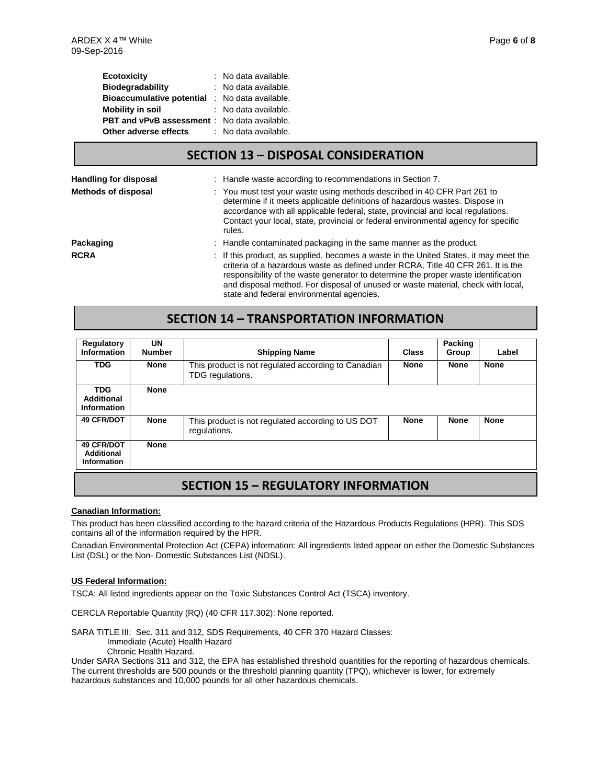| <b>Ecotoxicity</b>                                  | : No data available. |
|-----------------------------------------------------|----------------------|
| <b>Biodegradability</b>                             | : No data available. |
| <b>Bioaccumulative potential</b>                    | : No data available. |
| <b>Mobility in soil</b>                             | : No data available. |
| <b>PBT and vPvB assessment</b> : No data available. |                      |
| Other adverse effects                               | : No data available. |

## **SECTION 13 – DISPOSAL CONSIDERATION**

| <b>Handling for disposal</b> | : Handle waste according to recommendations in Section 7.                                                                                                                                                                                                                                                                                                                                        |
|------------------------------|--------------------------------------------------------------------------------------------------------------------------------------------------------------------------------------------------------------------------------------------------------------------------------------------------------------------------------------------------------------------------------------------------|
| Methods of disposal          | : You must test your waste using methods described in 40 CFR Part 261 to<br>determine if it meets applicable definitions of hazardous wastes. Dispose in<br>accordance with all applicable federal, state, provincial and local regulations.<br>Contact your local, state, provincial or federal environmental agency for specific<br>rules.                                                     |
| Packaging                    | : Handle contaminated packaging in the same manner as the product.                                                                                                                                                                                                                                                                                                                               |
| <b>RCRA</b>                  | : If this product, as supplied, becomes a waste in the United States, it may meet the<br>criteria of a hazardous waste as defined under RCRA, Title 40 CFR 261. It is the<br>responsibility of the waste generator to determine the proper waste identification<br>and disposal method. For disposal of unused or waste material, check with local,<br>state and federal environmental agencies. |

### **SECTION 14 – TRANSPORTATION INFORMATION**

| Regulatory<br>Information                                    | UN<br><b>Number</b> | <b>Shipping Name</b>                                                    | Class       | <b>Packing</b><br>Group | Label       |
|--------------------------------------------------------------|---------------------|-------------------------------------------------------------------------|-------------|-------------------------|-------------|
| <b>TDG</b>                                                   | <b>None</b>         | This product is not regulated according to Canadian<br>TDG regulations. | <b>None</b> | <b>None</b>             | <b>None</b> |
| <b>TDG</b><br><b>Additional</b><br>Information               | <b>None</b>         |                                                                         |             |                         |             |
| 49 CFR/DOT                                                   | <b>None</b>         | This product is not regulated according to US DOT<br>regulations.       | <b>None</b> | <b>None</b>             | <b>None</b> |
| <b>49 CFR/DOT</b><br><b>Additional</b><br><b>Information</b> | <b>None</b>         |                                                                         |             |                         |             |
|                                                              |                     |                                                                         |             |                         |             |

## **SECTION 15 – REGULATORY INFORMATION**

#### **Canadian Information:**

This product has been classified according to the hazard criteria of the Hazardous Products Regulations (HPR). This SDS contains all of the information required by the HPR.

Canadian Environmental Protection Act (CEPA) information: All ingredients listed appear on either the Domestic Substances List (DSL) or the Non- Domestic Substances List (NDSL).

#### **US Federal Information:**

TSCA: All listed ingredients appear on the Toxic Substances Control Act (TSCA) inventory.

CERCLA Reportable Quantity (RQ) (40 CFR 117.302): None reported.

SARA TITLE III: Sec. 311 and 312, SDS Requirements, 40 CFR 370 Hazard Classes: Immediate (Acute) Health Hazard

Chronic Health Hazard.

Under SARA Sections 311 and 312, the EPA has established threshold quantities for the reporting of hazardous chemicals. The current thresholds are 500 pounds or the threshold planning quantity (TPQ), whichever is lower, for extremely hazardous substances and 10,000 pounds for all other hazardous chemicals.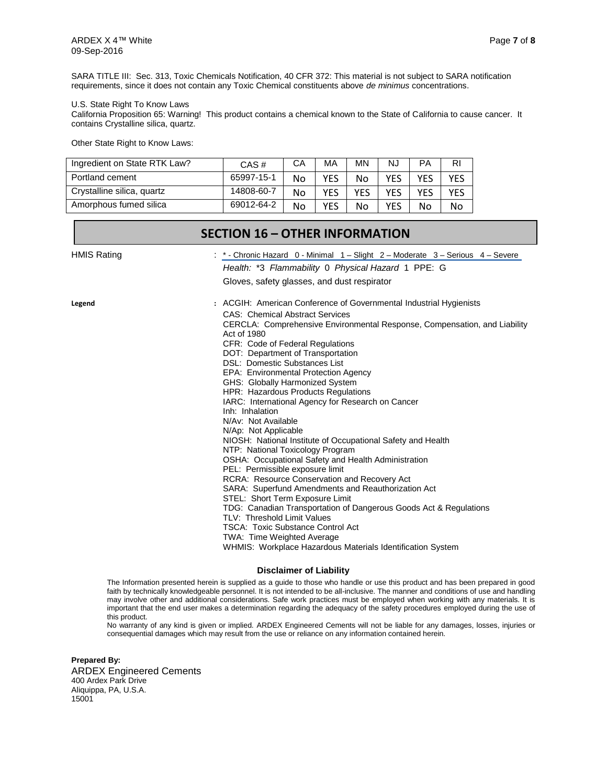SARA TITLE III: Sec. 313, Toxic Chemicals Notification, 40 CFR 372: This material is not subject to SARA notification requirements, since it does not contain any Toxic Chemical constituents above *de minimus* concentrations.

#### U.S. State Right To Know Laws

California Proposition 65: Warning! This product contains a chemical known to the State of California to cause cancer. It contains Crystalline silica, quartz.

Other State Right to Know Laws:

| Ingredient on State RTK Law? | CAS#       | CА | МA         | <b>MN</b> | NJ         | PA  | RI  |
|------------------------------|------------|----|------------|-----------|------------|-----|-----|
| Portland cement              | 65997-15-1 | No | YES        | No        | YES        | YES | YES |
| Crystalline silica, quartz   | 14808-60-7 | No | <b>YES</b> | YFS       | <b>YES</b> | YES | YES |
| Amorphous fumed silica       | 69012-64-2 | No | YES        | No        | YES        | No  | No  |

| <b>SECTION 16 - OTHER INFORMATION</b> |                                                                                                                                                                                                                                                                                                                                                                                                                                                                                                                                                                                                                                                                                                                                                                                                                                                                                                                                                                                                                                                                                                                                                      |  |  |
|---------------------------------------|------------------------------------------------------------------------------------------------------------------------------------------------------------------------------------------------------------------------------------------------------------------------------------------------------------------------------------------------------------------------------------------------------------------------------------------------------------------------------------------------------------------------------------------------------------------------------------------------------------------------------------------------------------------------------------------------------------------------------------------------------------------------------------------------------------------------------------------------------------------------------------------------------------------------------------------------------------------------------------------------------------------------------------------------------------------------------------------------------------------------------------------------------|--|--|
| <b>HMIS Rating</b>                    | : $*$ - Chronic Hazard 0 - Minimal $1 -$ Slight $2 -$ Moderate $3 -$ Serious $4 -$ Severe<br>Health: *3 Flammability 0 Physical Hazard 1 PPE: G<br>Gloves, safety glasses, and dust respirator                                                                                                                                                                                                                                                                                                                                                                                                                                                                                                                                                                                                                                                                                                                                                                                                                                                                                                                                                       |  |  |
| Legend                                | : ACGIH: American Conference of Governmental Industrial Hygienists<br><b>CAS: Chemical Abstract Services</b><br>CERCLA: Comprehensive Environmental Response, Compensation, and Liability<br>Act of 1980<br>CFR: Code of Federal Regulations<br>DOT: Department of Transportation<br>DSL: Domestic Substances List<br>EPA: Environmental Protection Agency<br>GHS: Globally Harmonized System<br><b>HPR: Hazardous Products Regulations</b><br>IARC: International Agency for Research on Cancer<br>Inh: Inhalation<br>N/Av: Not Available<br>N/Ap: Not Applicable<br>NIOSH: National Institute of Occupational Safety and Health<br>NTP: National Toxicology Program<br>OSHA: Occupational Safety and Health Administration<br>PEL: Permissible exposure limit<br>RCRA: Resource Conservation and Recovery Act<br>SARA: Superfund Amendments and Reauthorization Act<br>STEL: Short Term Exposure Limit<br>TDG: Canadian Transportation of Dangerous Goods Act & Regulations<br>TLV: Threshold Limit Values<br><b>TSCA: Toxic Substance Control Act</b><br>TWA: Time Weighted Average<br>WHMIS: Workplace Hazardous Materials Identification System |  |  |

#### **Disclaimer of Liability**

The Information presented herein is supplied as a guide to those who handle or use this product and has been prepared in good faith by technically knowledgeable personnel. It is not intended to be all-inclusive. The manner and conditions of use and handling may involve other and additional considerations. Safe work practices must be employed when working with any materials. It is important that the end user makes a determination regarding the adequacy of the safety procedures employed during the use of this product.

No warranty of any kind is given or implied. ARDEX Engineered Cements will not be liable for any damages, losses, injuries or consequential damages which may result from the use or reliance on any information contained herein.

**Prepared By:** ARDEX Engineered Cements 400 Ardex Park Drive Aliquippa, PA, U.S.A. 15001